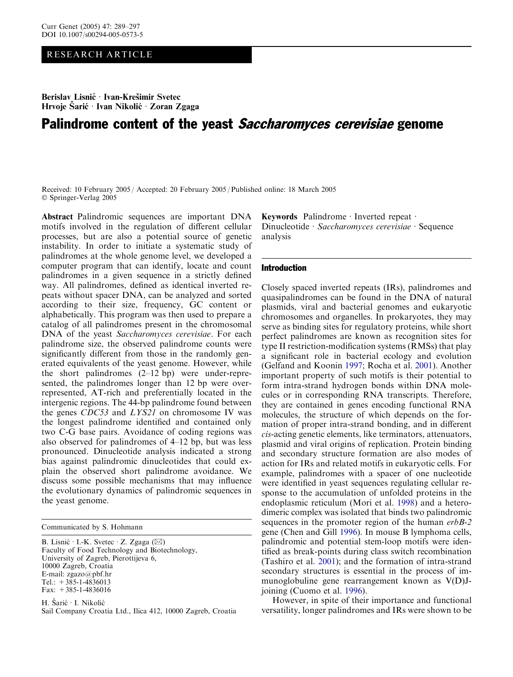## RESEARCH ARTICLE

Berislav Lisnić · Ivan-Krešimir Svetec Hrvoje Šarić · Ivan Nikolić · Zoran Zgaga

# Palindrome content of the yeast Saccharomyces cerevisiae genome

Received: 10 February 2005 / Accepted: 20 February 2005 / Published online: 18 March 2005 Springer-Verlag 2005

Abstract Palindromic sequences are important DNA motifs involved in the regulation of different cellular processes, but are also a potential source of genetic instability. In order to initiate a systematic study of palindromes at the whole genome level, we developed a computer program that can identify, locate and count palindromes in a given sequence in a strictly defined way. All palindromes, defined as identical inverted repeats without spacer DNA, can be analyzed and sorted according to their size, frequency, GC content or alphabetically. This program was then used to prepare a catalog of all palindromes present in the chromosomal DNA of the yeast Saccharomyces cerevisiae. For each palindrome size, the observed palindrome counts were significantly different from those in the randomly generated equivalents of the yeast genome. However, while the short palindromes (2–12 bp) were under-represented, the palindromes longer than 12 bp were overrepresented, AT-rich and preferentially located in the intergenic regions. The 44-bp palindrome found between the genes CDC53 and LYS21 on chromosome IV was the longest palindrome identified and contained only two C-G base pairs. Avoidance of coding regions was also observed for palindromes of 4–12 bp, but was less pronounced. Dinucleotide analysis indicated a strong bias against palindromic dinucleotides that could explain the observed short palindrome avoidance. We discuss some possible mechanisms that may influence the evolutionary dynamics of palindromic sequences in the yeast genome.

B. Lisnić  $\cdot$  I.-K. Svetec  $\cdot$  Z. Zgaga ( $\boxtimes$ ) Faculty of Food Technology and Biotechnology, University of Zagreb, Pierottijeva 6, 10000 Zagreb, Croatia E-mail: zgazo@pbf.hr Tel.:  $+385-1-4836013$ Fax:  $+385-1-4836016$ 

H. Šarić · I. Nikolić Sail Company Croatia Ltd., Ilica 412, 10000 Zagreb, Croatia Keywords Palindrome · Inverted repeat · Dinucleotide · Saccharomyces cerevisiae · Sequence analysis

#### Introduction

Closely spaced inverted repeats (IRs), palindromes and quasipalindromes can be found in the DNA of natural plasmids, viral and bacterial genomes and eukaryotic chromosomes and organelles. In prokaryotes, they may serve as binding sites for regulatory proteins, while short perfect palindromes are known as recognition sites for type II restriction-modification systems (RMSs) that play a significant role in bacterial ecology and evolution (Gelfand and Koonin [1997](#page-8-0); Rocha et al. [2001\)](#page-8-0). Another important property of such motifs is their potential to form intra-strand hydrogen bonds within DNA molecules or in corresponding RNA transcripts. Therefore, they are contained in genes encoding functional RNA molecules, the structure of which depends on the formation of proper intra-strand bonding, and in different cis-acting genetic elements, like terminators, attenuators, plasmid and viral origins of replication. Protein binding and secondary structure formation are also modes of action for IRs and related motifs in eukaryotic cells. For example, palindromes with a spacer of one nucleotide were identified in yeast sequences regulating cellular response to the accumulation of unfolded proteins in the endoplasmic reticulum (Mori et al. [1998\)](#page-8-0) and a heterodimeric complex was isolated that binds two palindromic sequences in the promoter region of the human erbB-2 gene (Chen and Gill [1996](#page-8-0)). In mouse B lymphoma cells, palindromic and potential stem-loop motifs were identified as break-points during class switch recombination (Tashiro et al. [2001](#page-8-0)); and the formation of intra-strand secondary structures is essential in the process of immunoglobuline gene rearrangement known as V(D)Jjoining (Cuomo et al. [1996](#page-8-0)).

However, in spite of their importance and functional versatility, longer palindromes and IRs were shown to be

Communicated by S. Hohmann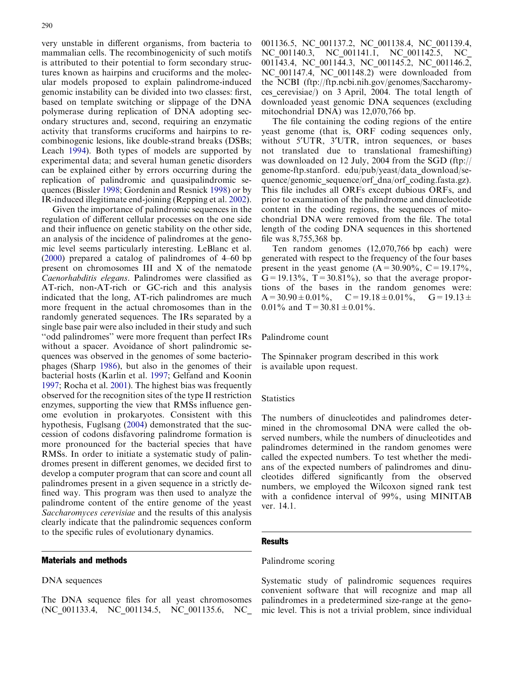290

very unstable in different organisms, from bacteria to mammalian cells. The recombinogenicity of such motifs is attributed to their potential to form secondary structures known as hairpins and cruciforms and the molecular models proposed to explain palindrome-induced genomic instability can be divided into two classes: first, based on template switching or slippage of the DNA polymerase during replication of DNA adopting secondary structures and, second, requiring an enzymatic activity that transforms cruciforms and hairpins to recombinogenic lesions, like double-strand breaks (DSBs; Leach [1994\)](#page-8-0). Both types of models are supported by experimental data; and several human genetic disorders can be explained either by errors occurring during the replication of palindromic and quasipalindromic sequences (Bissler [1998;](#page-8-0) Gordenin and Resnick [1998\)](#page-8-0) or by IR-induced illegitimate end-joining (Repping et al. [2002\)](#page-8-0).

Given the importance of palindromic sequences in the regulation of different cellular processes on the one side and their influence on genetic stability on the other side, an analysis of the incidence of palindromes at the genomic level seems particularly interesting. LeBlanc et al. ([2000\)](#page-8-0) prepared a catalog of palindromes of 4–60 bp present on chromosomes III and X of the nematode Caenorhabditis elegans. Palindromes were classified as AT-rich, non-AT-rich or GC-rich and this analysis indicated that the long, AT-rich palindromes are much more frequent in the actual chromosomes than in the randomly generated sequences. The IRs separated by a single base pair were also included in their study and such ''odd palindromes'' were more frequent than perfect IRs without a spacer. Avoidance of short palindromic sequences was observed in the genomes of some bacteriophages (Sharp [1986\)](#page-8-0), but also in the genomes of their bacterial hosts (Karlin et al. [1997;](#page-8-0) Gelfand and Koonin [1997](#page-8-0); Rocha et al. [2001](#page-8-0)). The highest bias was frequently observed for the recognition sites of the type II restriction enzymes, supporting the view that RMSs influence genome evolution in prokaryotes. Consistent with this hypothesis, Fuglsang ([2004](#page-8-0)) demonstrated that the succession of codons disfavoring palindrome formation is more pronounced for the bacterial species that have RMSs. In order to initiate a systematic study of palindromes present in different genomes, we decided first to develop a computer program that can score and count all palindromes present in a given sequence in a strictly defined way. This program was then used to analyze the palindrome content of the entire genome of the yeast Saccharomyces cerevisiae and the results of this analysis clearly indicate that the palindromic sequences conform to the specific rules of evolutionary dynamics.

#### Materials and methods

#### DNA sequences

The DNA sequence files for all yeast chromosomes (NC\_001133.4, NC\_001134.5, NC\_001135.6, NC\_ 001136.5, NC\_001137.2, NC\_001138.4, NC\_001139.4, NC\_001140.3, NC\_001141.1, NC\_001142.5, NC 001143.4, NC\_001144.3, NC\_001145.2, NC\_001146.2, NC\_001147.4, NC\_001148.2) were downloaded from the NCBI (ftp://ftp.ncbi.nih.gov/genomes/Saccharomyces\_cerevisiae/) on 3 April, 2004. The total length of downloaded yeast genomic DNA sequences (excluding mitochondrial DNA) was 12,070,766 bp.

The file containing the coding regions of the entire yeast genome (that is, ORF coding sequences only, without 5'UTR, 3'UTR, intron sequences, or bases not translated due to translational frameshifting) was downloaded on 12 July, 2004 from the SGD (ftp:// genome-ftp.stanford. edu/pub/yeast/data\_download/sequence/genomic\_sequence/orf\_dna/orf\_coding.fasta.gz). This file includes all ORFs except dubious ORFs, and prior to examination of the palindrome and dinucleotide content in the coding regions, the sequences of mitochondrial DNA were removed from the file. The total length of the coding DNA sequences in this shortened file was 8,755,368 bp.

Ten random genomes (12,070,766 bp each) were generated with respect to the frequency of the four bases present in the yeast genome  $(A=30.90\%, C=19.17\%,$  $G=19.13\%, T=30.81\%$ , so that the average proportions of the bases in the random genomes were:  $A=30.90\pm0.01\%$ ,  $C=19.18\pm0.01\%$ ,  $G=19.13\pm$ 0.01% and  $T = 30.81 \pm 0.01\%$ .

Palindrome count

The Spinnaker program described in this work is available upon request.

#### Statistics

The numbers of dinucleotides and palindromes determined in the chromosomal DNA were called the observed numbers, while the numbers of dinucleotides and palindromes determined in the random genomes were called the expected numbers. To test whether the medians of the expected numbers of palindromes and dinucleotides differed significantly from the observed numbers, we employed the Wilcoxon signed rank test with a confidence interval of 99%, using MINITAB ver. 14.1.

## **Results**

## Palindrome scoring

Systematic study of palindromic sequences requires convenient software that will recognize and map all palindromes in a predetermined size-range at the genomic level. This is not a trivial problem, since individual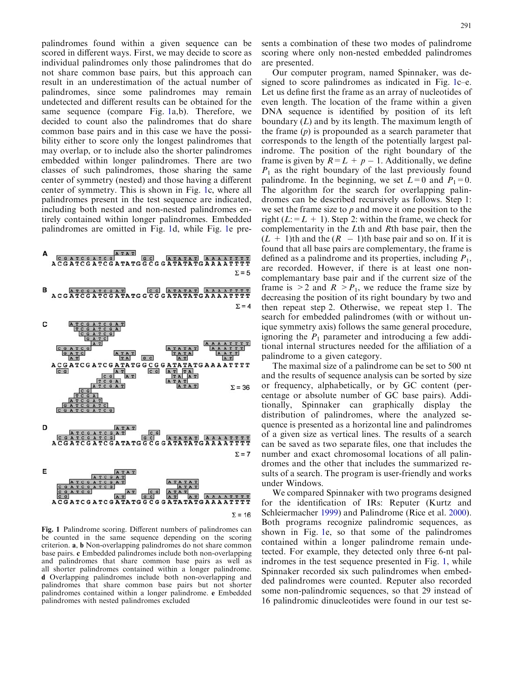<span id="page-2-0"></span>palindromes found within a given sequence can be scored in different ways. First, we may decide to score as individual palindromes only those palindromes that do not share common base pairs, but this approach can result in an underestimation of the actual number of palindromes, since some palindromes may remain undetected and different results can be obtained for the same sequence (compare Fig. 1a,b). Therefore, we decided to count also the palindromes that do share common base pairs and in this case we have the possibility either to score only the longest palindromes that may overlap, or to include also the shorter palindromes embedded within longer palindromes. There are two classes of such palindromes, those sharing the same center of symmetry (nested) and those having a different center of symmetry. This is shown in Fig. 1c, where all palindromes present in the test sequence are indicated, including both nested and non-nested palindromes entirely contained within longer palindromes. Embedded palindromes are omitted in Fig. 1d, while Fig. 1e pre-



Fig. 1 Palindrome scoring. Different numbers of palindromes can be counted in the same sequence depending on the scoring criterion. a, b Non-overlapping palindromes do not share common base pairs. c Embedded palindromes include both non-overlapping and palindromes that share common base pairs as well as all shorter palindromes contained within a longer palindrome. d Overlapping palindromes include both non-overlapping and palindromes that share common base pairs but not shorter palindromes contained within a longer palindrome. e Embedded palindromes with nested palindromes excluded

sents a combination of these two modes of palindrome scoring where only non-nested embedded palindromes are presented.

Our computer program, named Spinnaker, was designed to score palindromes as indicated in Fig. 1c–e. Let us define first the frame as an array of nucleotides of even length. The location of the frame within a given DNA sequence is identified by position of its left boundary (L) and by its length. The maximum length of the frame  $(p)$  is propounded as a search parameter that corresponds to the length of the potentially largest palindrome. The position of the right boundary of the frame is given by  $R = L + p - 1$ . Additionally, we define  $P_1$  as the right boundary of the last previously found palindrome. In the beginning, we set  $L=0$  and  $P_1=0$ . The algorithm for the search for overlapping palindromes can be described recursively as follows. Step 1: we set the frame size to  $p$  and move it one position to the right ( $L: = L + 1$ ). Step 2: within the frame, we check for complementarity in the Lth and Rth base pair, then the  $(L + 1)$ th and the  $(R - 1)$ th base pair and so on. If it is found that all base pairs are complementary, the frame is defined as a palindrome and its properties, including  $P_1$ , are recorded. However, if there is at least one noncomplemantary base pair and if the current size of the frame is  $>2$  and  $R > P_1$ , we reduce the frame size by decreasing the position of its right boundary by two and then repeat step 2. Otherwise, we repeat step 1. The search for embedded palindromes (with or without unique symmetry axis) follows the same general procedure, ignoring the  $P_1$  parameter and introducing a few additional internal structures needed for the affiliation of a palindrome to a given category.

The maximal size of a palindrome can be set to 500 nt and the results of sequence analysis can be sorted by size or frequency, alphabetically, or by GC content (percentage or absolute number of GC base pairs). Additionally, Spinnaker can graphically display the distribution of palindromes, where the analyzed sequence is presented as a horizontal line and palindromes of a given size as vertical lines. The results of a search can be saved as two separate files, one that includes the number and exact chromosomal locations of all palindromes and the other that includes the summarized results of a search. The program is user-friendly and works under Windows.

We compared Spinnaker with two programs designed for the identification of IRs: Reputer (Kurtz and Schleiermacher [1999](#page-8-0)) and Palindrome (Rice et al. [2000\)](#page-8-0). Both programs recognize palindromic sequences, as shown in Fig. 1e, so that some of the palindromes contained within a longer palindrome remain undetected. For example, they detected only three 6-nt palindromes in the test sequence presented in Fig. 1, while Spinnaker recorded six such palindromes when embedded palindromes were counted. Reputer also recorded some non-palindromic sequences, so that 29 instead of 16 palindromic dinucleotides were found in our test se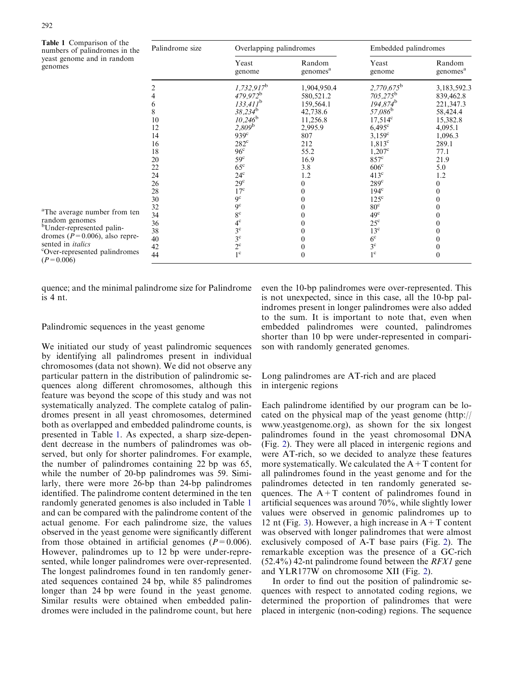$(P=0.006)$ 

<span id="page-3-0"></span>

| <b>Table 1</b> Comparison of the<br>numbers of palindromes in the<br>yeast genome and in random<br>genomes                                  | Palindrome size | Overlapping palindromes |                                | Embedded palindromes |                                |
|---------------------------------------------------------------------------------------------------------------------------------------------|-----------------|-------------------------|--------------------------------|----------------------|--------------------------------|
|                                                                                                                                             |                 | Yeast<br>genome         | Random<br>genomes <sup>a</sup> | Yeast<br>genome      | Random<br>genomes <sup>a</sup> |
|                                                                                                                                             |                 | $1,732,917^b$           | 1,904,950.4                    | $2,770,675^{\rm b}$  | 3,183,592.3                    |
|                                                                                                                                             |                 | $479,972^b$             | 580,521.2                      | $705,275^{\rm b}$    | 839,462.8                      |
|                                                                                                                                             | 6               | $133,411^b$             | 159,564.1                      | $194,874^b$          | 221,347.3                      |
|                                                                                                                                             | 8               | $38,234^{\rm b}$        | 42,738.6                       | $57,086^{\rm b}$     | 58,424.4                       |
|                                                                                                                                             | 10              | $10,246^{\rm b}$        | 11,256.8                       | $17,514^{\circ}$     | 15,382.8                       |
|                                                                                                                                             | 12              | $2,809^{\rm b}$         | 2,995.9                        | $6,495^{\circ}$      | 4,095.1                        |
|                                                                                                                                             | 14              | 939 <sup>c</sup>        | 807                            | $3.159^{\circ}$      | 1,096.3                        |
|                                                                                                                                             | 16              | $282^{\circ}$           | 212                            | $1,813^{\circ}$      | 289.1                          |
|                                                                                                                                             | 18              | 96 <sup>c</sup>         | 55.2                           | $1,207^{\circ}$      | 77.1                           |
|                                                                                                                                             | 20              | $59^{\circ}$            | 16.9                           | $857^{\circ}$        | 21.9                           |
|                                                                                                                                             | 22              | $65^{\circ}$            | 3.8                            | 606 <sup>c</sup>     | 5.0                            |
|                                                                                                                                             | 24              | $24^{\circ}$            | 1.2                            | $413^{\circ}$        | 1.2                            |
|                                                                                                                                             | 26              | 29 <sup>c</sup>         |                                | $289^{\circ}$        |                                |
| random genomes<br><sup>b</sup> Under-represented palin-<br>dromes ( $P = 0.006$ ), also repre-<br><sup>c</sup> Over-represented palindromes | 28              | $17^{\circ}$            |                                | $194^{\circ}$        |                                |
|                                                                                                                                             | 30              | $9^{\circ}$             |                                | $125^{\circ}$        |                                |
| <sup>a</sup> The average number from ten                                                                                                    | 32              | 9 <sup>c</sup>          |                                | 80 <sup>c</sup>      |                                |
|                                                                                                                                             | 34              | $8^{\rm c}$             |                                | 49 <sup>c</sup>      |                                |
|                                                                                                                                             | 36              | $4^\mathrm{c}$          |                                | $25^{\circ}$         |                                |
|                                                                                                                                             | 38              | $3^{\circ}$             |                                | $13^{\circ}$         |                                |
| sented in <i>italics</i>                                                                                                                    | 40              | $3^{\circ}$             |                                | 6 <sup>c</sup>       |                                |
|                                                                                                                                             | 42              | $2^{\rm c}$             |                                | $3^{\rm c}$          |                                |
| $(P = 0.006)$                                                                                                                               | 44              | $1^{\circ}$             | 0                              | $1^{\circ}$          |                                |

[quence; and the minimal palindrome size for Palindrome](#page-2-0) [is 4 nt.](#page-2-0)

## Palindromic sequences in the yeast genome

We initiated our study of yeast palindromic sequences by identifying all palindromes present in individual chromosomes (data not shown). We did not observe any particular pattern in the distribution of palindromic sequences along different chromosomes, although this feature was beyond the scope of this study and was not systematically analyzed. The complete catalog of palindromes present in all yeast chromosomes, determined both as overlapped and embedded palindrome counts, is presented in Table 1. As expected, a sharp size-dependent decrease in the numbers of palindromes was observed, but only for shorter palindromes. For example, the number of palindromes containing 22 bp was 65, while the number of 20-bp palindromes was 59. Similarly, there were more 26-bp than 24-bp palindromes identified. The palindrome content determined in the ten randomly generated genomes is also included in Table 1 and can be compared with the palindrome content of the actual genome. For each palindrome size, the values observed in the yeast genome were significantly different from those obtained in artificial genomes ( $P=0.006$ ). However, palindromes up to 12 bp were under-represented, while longer palindromes were over-represented. The longest palindromes found in ten randomly generated sequences contained 24 bp, while 85 palindromes longer than 24 bp were found in the yeast genome. Similar results were obtained when embedded palindromes were included in the palindrome count, but here even the 10-bp palindromes were over-represented. This is not unexpected, since in this case, all the 10-bp palindromes present in longer palindromes were also added to the sum. It is important to note that, even when embedded palindromes were counted, palindromes shorter than 10 bp were under-represented in comparison with randomly generated genomes.

## Long palindromes are AT-rich and are placed in intergenic regions

Each palindrome identified by our program can be located on the physical map of the yeast genome (http:// www.yeastgenome.org), as shown for the six longest palindromes found in the yeast chromosomal DNA (Fig. [2\). They were all placed in intergenic regions and](#page-4-0) [were AT-rich, so we decided to analyze these features](#page-4-0) more systematically. We calculated the  $A+T$  content for [all palindromes found in the yeast genome and for the](#page-4-0) [palindromes detected in ten randomly generated se](#page-4-0)quences. The  $A+T$  content of palindromes found in [artificial sequences was around 70%, while slightly lower](#page-4-0) [values were observed in genomic palindromes up to](#page-4-0) 12 nt (Fig. 3). However, a high increase in  $A+T$  content [was observed with longer palindromes that were almost](#page-4-0) [exclusively composed of A-T base pairs \(Fig.](#page-4-0) 2). The [remarkable exception was the presence of a GC-rich](#page-4-0)  $(52.4\%)$  42-nt palindrome found between the *RFX1* gene [and YLR177W on chromosome XII \(Fig.](#page-4-0) 2).

In order to find out the position of palindromic sequences with respect to annotated coding regions, we determined the proportion of palindromes that were placed in intergenic (non-coding) regions. The sequence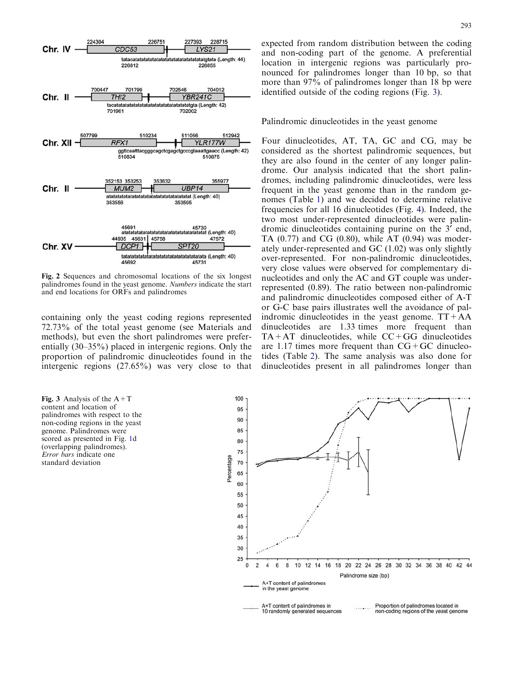<span id="page-4-0"></span>

Fig. 2 Sequences and chromosomal locations of the six longest palindromes found in the yeast genome. Numbers indicate the start and end locations for ORFs and palindromes

containing only the yeast coding regions represented 72.73% of the total yeast genome (see Materials and methods), but even the short palindromes were preferentially (30–35%) placed in intergenic regions. Only the proportion of palindromic dinucleotides found in the intergenic regions (27.65%) was very close to that

Fig. 3 Analysis of the  $A+T$ content and location of palindromes with respect to the non-coding regions in the yeast genome. Palindromes were scored as presented in Fig. [1d](#page-2-0) [\(overlapping palindromes\).](#page-2-0) Error bars [indicate one](#page-2-0) [standard deviation](#page-2-0)

expected from random distribution between the coding and non-coding part of the genome. A preferential location in intergenic regions was particularly pronounced for palindromes longer than 10 bp, so that more than 97% of palindromes longer than 18 bp were identified outside of the coding regions (Fig. 3).

Palindromic dinucleotides in the yeast genome

Four dinucleotides, AT, TA, GC and CG, may be considered as the shortest palindromic sequences, but they are also found in the center of any longer palindrome. Our analysis indicated that the short palindromes, including palindromic dinucleotides, were less frequent in the yeast genome than in the random genomes (Table [1\) and we decided to determine relative](#page-3-0) [frequencies for all 16 dinucleotides \(Fig.](#page-5-0) 4). Indeed, the [two most under-represented dinucleotides were palin](#page-5-0)[dromic dinucleotides containing purine on the 3](#page-5-0)<sup>'</sup> end, TA  $(0.77)$  and CG  $(0.80)$ , while AT  $(0.94)$  was moder[ately under-represented and GC \(1.02\) was only slightly](#page-5-0) [over-represented. For non-palindromic dinucleotides,](#page-5-0) [very close values were observed for complementary di](#page-5-0)[nucleotides and only the AC and GT couple was under](#page-5-0)[represented \(0.89\). The ratio between non-palindromic](#page-5-0) [and palindromic dinucleotides composed either of A-T](#page-5-0) [or G-C base pairs illustrates well the avoidance of pal](#page-5-0)indromic dinucleotides in the yeast genome.  $TT+AA$ [dinucleotides are 1.33 times more frequent than](#page-5-0)  $TA+AT$  dinucleotides, while  $CC+GG$  dinucleotides are 1.17 times more frequent than  $CG+GC$  dinucleotides (Table [2\). The same analysis was also done for](#page-5-0) [dinucleotides present in all palindromes longer than](#page-5-0)

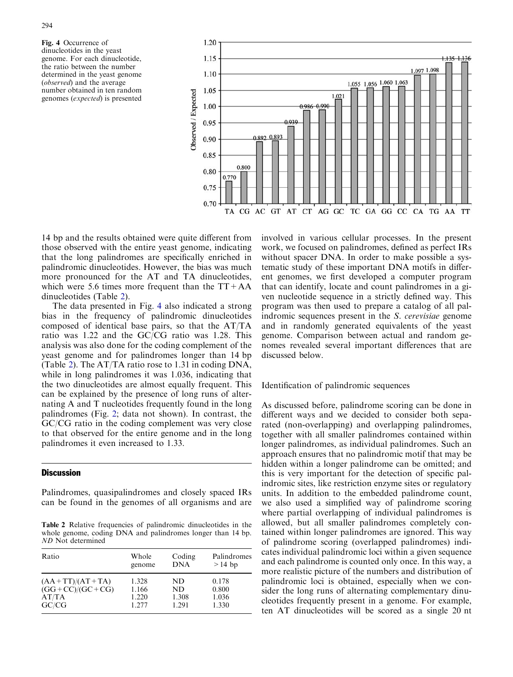<span id="page-5-0"></span>Fig. 4 Occurrence of dinucleotides in the yeast genome. For each dinucleotide, the ratio between the number determined in the yeast genome (observed) and the average number obtained in ten random genomes (expected) is presented



14 bp and the results obtained were quite different from those observed with the entire yeast genome, indicating that the long palindromes are specifically enriched in palindromic dinucleotides. However, the bias was much more pronounced for the AT and TA dinucleotides, which were 5.6 times more frequent than the  $TT+AA$ dinucleotides (Table 2).

The data presented in Fig. 4 also indicated a strong bias in the frequency of palindromic dinucleotides composed of identical base pairs, so that the AT/TA ratio was 1.22 and the GC/CG ratio was 1.28. This analysis was also done for the coding complement of the yeast genome and for palindromes longer than 14 bp (Table 2). The AT/TA ratio rose to 1.31 in coding DNA, while in long palindromes it was 1.036, indicating that the two dinucleotides are almost equally frequent. This can be explained by the presence of long runs of alternating A and T nucleotides frequently found in the long palindromes (Fig. [2; data not shown\). In contrast, the](#page-4-0) [GC/CG ratio in the coding complement was very close](#page-4-0) [to that observed for the entire genome and in the long](#page-4-0) [palindromes it even increased to 1.33.](#page-4-0)

## **Discussion**

Palindromes, quasipalindromes and closely spaced IRs can be found in the genomes of all organisms and are

Table 2 Relative frequencies of palindromic dinucleotides in the whole genome, coding DNA and palindromes longer than 14 bp. ND Not determined

| Ratio                 | Whole  | Coding     | Palindromes |
|-----------------------|--------|------------|-------------|
|                       | genome | <b>DNA</b> | $>14$ bp    |
| $(AA + TT)/(AT + TA)$ | 1.328  | ND         | 0.178       |
| $(GG + CC)/(GC + CG)$ | 1.166  | ND         | 0.800       |
| AT/TA                 | 1.220  | 1.308      | 1.036       |
| GC/CG                 | 1.277  | 1.291      | 1.330       |

involved in various cellular processes. In the present work, we focused on palindromes, defined as perfect IRs without spacer DNA. In order to make possible a systematic study of these important DNA motifs in different genomes, we first developed a computer program that can identify, locate and count palindromes in a given nucleotide sequence in a strictly defined way. This program was then used to prepare a catalog of all palindromic sequences present in the S. *cerevisiae* genome and in randomly generated equivalents of the yeast genome. Comparison between actual and random genomes revealed several important differences that are discussed below.

## Identification of palindromic sequences

As discussed before, palindrome scoring can be done in different ways and we decided to consider both separated (non-overlapping) and overlapping palindromes, together with all smaller palindromes contained within longer palindromes, as individual palindromes. Such an approach ensures that no palindromic motif that may be hidden within a longer palindrome can be omitted; and this is very important for the detection of specific palindromic sites, like restriction enzyme sites or regulatory units. In addition to the embedded palindrome count, we also used a simplified way of palindrome scoring where partial overlapping of individual palindromes is allowed, but all smaller palindromes completely contained within longer palindromes are ignored. This way of palindrome scoring (overlapped palindromes) indicates individual palindromic loci within a given sequence and each palindrome is counted only once. In this way, a more realistic picture of the numbers and distribution of palindromic loci is obtained, especially when we consider the long runs of alternating complementary dinucleotides frequently present in a genome. For example, ten AT dinucleotides will be scored as a single 20 nt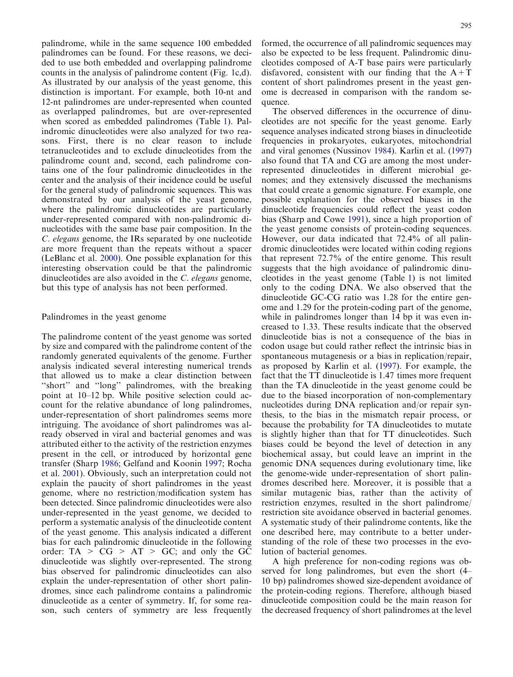palindrome, while in the same sequence 100 embedded palindromes can be found. For these reasons, we decided to use both embedded and overlapping palindrome counts in the analysis of palindrome content (Fig. [1c,d\).](#page-2-0) [As illustrated by our analysis of the yeast genome, this](#page-2-0) [distinction is important. For example, both 10-nt and](#page-2-0) [12-nt palindromes are under-represented when counted](#page-2-0) [as overlapped palindromes, but are over-represented](#page-2-0) [when scored as embedded palindromes \(Table](#page-3-0) 1). Pal[indromic dinucleotides were also analyzed for two rea](#page-3-0)[sons. First, there is no clear reason to include](#page-3-0) [tetranucleotides and to exclude dinucleotides from the](#page-3-0) [palindrome count and, second, each palindrome con](#page-3-0)[tains one of the four palindromic dinucleotides in the](#page-3-0) [center and the analysis of their incidence could be useful](#page-3-0) [for the general study of palindromic sequences. This was](#page-3-0) [demonstrated by our analysis of the yeast genome,](#page-3-0) [where the palindromic dinucleotides are particularly](#page-3-0) [under-represented compared with non-palindromic di](#page-3-0)[nucleotides with the same base pair composition. In the](#page-3-0) C. elegans [genome, the IRs separated by one nucleotide](#page-3-0) [are more frequent than the repeats without a spacer](#page-3-0) [\(LeBlanc et al.](#page-8-0) 2000). One possible explanation for this interesting observation could be that the palindromic dinucleotides are also avoided in the C. elegans genome, but this type of analysis has not been performed.

## Palindromes in the yeast genome

The palindrome content of the yeast genome was sorted by size and compared with the palindrome content of the randomly generated equivalents of the genome. Further analysis indicated several interesting numerical trends that allowed us to make a clear distinction between ''short'' and ''long'' palindromes, with the breaking point at 10–12 bp. While positive selection could account for the relative abundance of long palindromes, under-representation of short palindromes seems more intriguing. The avoidance of short palindromes was already observed in viral and bacterial genomes and was attributed either to the activity of the restriction enzymes present in the cell, or introduced by horizontal gene transfer (Sharp [1986](#page-8-0); Gelfand and Koonin [1997;](#page-8-0) Rocha et al. [2001\)](#page-8-0). Obviously, such an interpretation could not explain the paucity of short palindromes in the yeast genome, where no restriction/modification system has been detected. Since palindromic dinucleotides were also under-represented in the yeast genome, we decided to perform a systematic analysis of the dinucleotide content of the yeast genome. This analysis indicated a different bias for each palindromic dinucleotide in the following order:  $TA > CG > AT > GC$ ; and only the GC dinucleotide was slightly over-represented. The strong bias observed for palindromic dinucleotides can also explain the under-representation of other short palindromes, since each palindrome contains a palindromic dinucleotide as a center of symmetry. If, for some reason, such centers of symmetry are less frequently formed, the occurrence of all palindromic sequences may also be expected to be less frequent. Palindromic dinucleotides composed of A-T base pairs were particularly disfavored, consistent with our finding that the  $A+T$ content of short palindromes present in the yeast genome is decreased in comparison with the random sequence.

The observed differences in the occurrence of dinucleotides are not specific for the yeast genome. Early sequence analyses indicated strong biases in dinucleotide frequencies in prokaryotes, eukaryotes, mitochondrial and viral genomes (Nussinov [1984](#page-8-0)). Karlin et al. [\(1997\)](#page-8-0) also found that TA and CG are among the most underrepresented dinucleotides in different microbial genomes; and they extensively discussed the mechanisms that could create a genomic signature. For example, one possible explanation for the observed biases in the dinucleotide frequencies could reflect the yeast codon bias (Sharp and Cowe [1991\)](#page-8-0), since a high proportion of the yeast genome consists of protein-coding sequences. However, our data indicated that 72.4% of all palindromic dinucleotides were located within coding regions that represent 72.7% of the entire genome. This result suggests that the high avoidance of palindromic dinucleotides in the yeast genome (Table [1\) is not limited](#page-3-0) [only to the coding DNA. We also observed that the](#page-3-0) [dinucleotide GC-CG ratio was 1.28 for the entire gen](#page-3-0)[ome and 1.29 for the protein-coding part of the genome,](#page-3-0) [while in palindromes longer than 14 bp it was even in](#page-3-0)[creased to 1.33. These results indicate that the observed](#page-3-0) [dinucleotide bias is not a consequence of the bias in](#page-3-0) [codon usage but could rather reflect the intrinsic bias in](#page-3-0) [spontaneous mutagenesis or a bias in replication/repair,](#page-3-0) [as proposed by Karlin et al. \(1997\)](#page-8-0). For example, the fact that the TT dinucleotide is 1.47 times more frequent than the TA dinucleotide in the yeast genome could be due to the biased incorporation of non-complementary nucleotides during DNA replication and/or repair synthesis, to the bias in the mismatch repair process, or because the probability for TA dinucleotides to mutate is slightly higher than that for TT dinucleotides. Such biases could be beyond the level of detection in any biochemical assay, but could leave an imprint in the genomic DNA sequences during evolutionary time, like the genome-wide under-representation of short palindromes described here. Moreover, it is possible that a similar mutagenic bias, rather than the activity of restriction enzymes, resulted in the short palindrome/ restriction site avoidance observed in bacterial genomes. A systematic study of their palindrome contents, like the one described here, may contribute to a better understanding of the role of these two processes in the evolution of bacterial genomes.

A high preference for non-coding regions was observed for long palindromes, but even the short (4– 10 bp) palindromes showed size-dependent avoidance of the protein-coding regions. Therefore, although biased dinucleotide composition could be the main reason for the decreased frequency of short palindromes at the level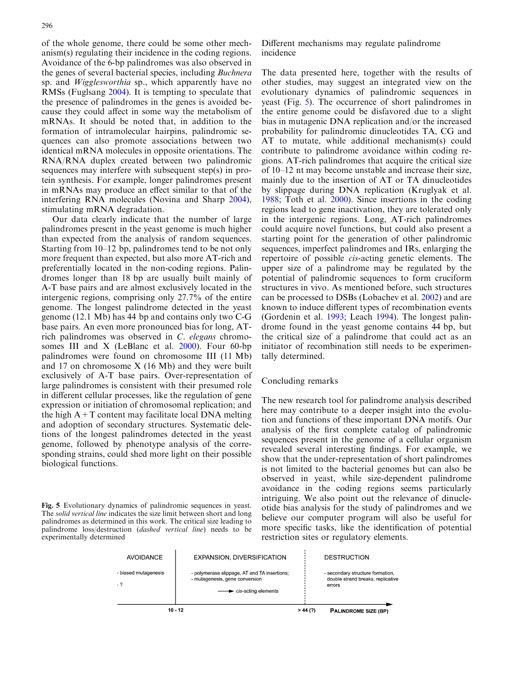of the whole genome, there could be some other mechanism(s) regulating their incidence in the coding regions. Avoidance of the 6-bp palindromes was also observed in the genes of several bacterial species, including Buchnera sp. and Wigglesworthia sp., which apparently have no RMSs (Fuglsang [2004](#page-8-0)). It is tempting to speculate that the presence of palindromes in the genes is avoided because they could affect in some way the metabolism of mRNAs. It should be noted that, in addition to the formation of intramolecular hairpins, palindromic sequences can also promote associations between two identical mRNA molecules in opposite orientations. The RNA/RNA duplex created between two palindromic sequences may interfere with subsequent step(s) in protein synthesis. For example, longer palindromes present in mRNAs may produce an effect similar to that of the interfering RNA molecules (Novina and Sharp [2004\)](#page-8-0), stimulating mRNA degradation.

Our data clearly indicate that the number of large palindromes present in the yeast genome is much higher than expected from the analysis of random sequences. Starting from 10–12 bp, palindromes tend to be not only more frequent than expected, but also more AT-rich and preferentially located in the non-coding regions. Palindromes longer than 18 bp are usually built mainly of A-T base pairs and are almost exclusively located in the intergenic regions, comprising only 27.7% of the entire genome. The longest palindrome detected in the yeast genome (12.1 Mb) has 44 bp and contains only two C-G base pairs. An even more pronounced bias for long, ATrich palindromes was observed in C. elegans chromosomes III and X (LeBlanc et al. [2000\)](#page-8-0). Four 60-bp palindromes were found on chromosome III (11 Mb) and 17 on chromosome X (16 Mb) and they were built exclusively of A-T base pairs. Over-representation of large palindromes is consistent with their presumed role in different cellular processes, like the regulation of gene expression or initiation of chromosomal replication; and the high  $A+T$  content may facilitate local DNA melting and adoption of secondary structures. Systematic deletions of the longest palindromes detected in the yeast genome, followed by phenotype analysis of the corresponding strains, could shed more light on their possible biological functions.

Fig. 5 Evolutionary dynamics of palindromic sequences in yeast. The solid vertical line indicates the size limit between short and long palindromes as determined in this work. The critical size leading to palindrome loss/destruction (dashed vertical line) needs to be experimentally determined

Different mechanisms may regulate palindrome incidence

The data presented here, together with the results of other studies, may suggest an integrated view on the evolutionary dynamics of palindromic sequences in yeast (Fig. 5). The occurrence of short palindromes in the entire genome could be disfavored due to a slight bias in mutagenic DNA replication and/or the increased probability for palindromic dinucleotides TA, CG and AT to mutate, while additional mechanism(s) could contribute to palindrome avoidance within coding regions. AT-rich palindromes that acquire the critical size of 10–12 nt may become unstable and increase their size, mainly due to the insertion of AT or TA dinucleotides by slippage during DNA replication (Kruglyak et al. [1988;](#page-8-0) Toth et al. [2000\)](#page-8-0). Since insertions in the coding regions lead to gene inactivation, they are tolerated only in the intergenic regions. Long, AT-rich palindromes could acquire novel functions, but could also present a starting point for the generation of other palindromic sequences, imperfect palindromes and IRs, enlarging the repertoire of possible cis-acting genetic elements. The upper size of a palindrome may be regulated by the potential of palindromic sequences to form cruciform structures in vivo. As mentioned before, such structures can be processed to DSBs (Lobachev et al. [2002\)](#page-8-0) and are known to induce different types of recombination events (Gordenin et al. [1993](#page-8-0); Leach [1994](#page-8-0)). The longest palindrome found in the yeast genome contains 44 bp, but the critical size of a palindrome that could act as an initiator of recombination still needs to be experimentally determined.

## Concluding remarks

The new research tool for palindrome analysis described here may contribute to a deeper insight into the evolution and functions of these important DNA motifs. Our analysis of the first complete catalog of palindromic sequences present in the genome of a cellular organism revealed several interesting findings. For example, we show that the under-representation of short palindromes is not limited to the bacterial genomes but can also be observed in yeast, while size-dependent palindrome avoidance in the coding regions seems particularly intriguing. We also point out the relevance of dinucleotide bias analysis for the study of palindromes and we believe our computer program will also be useful for more specific tasks, like the identification of potential restriction sites or regulatory elements.